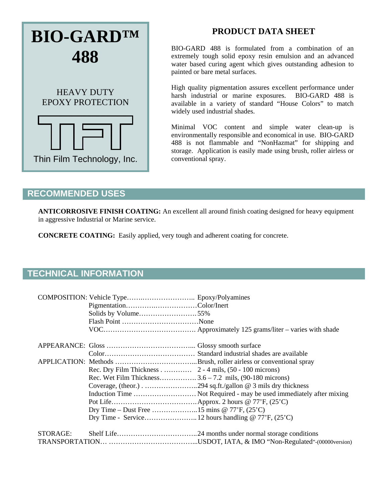# **BIO-GARD™ 488**  HEAVY DUTY EPOXY PROTECTION

Thin Film Technology, Inc.

### **PRODUCT DATA SHEET**

BIO-GARD 488 is formulated from a combination of an extremely tough solid epoxy resin emulsion and an advanced water based curing agent which gives outstanding adhesion to painted or bare metal surfaces.

High quality pigmentation assures excellent performance under harsh industrial or marine exposures. BIO-GARD 488 is available in a variety of standard "House Colors" to match widely used industrial shades.

Minimal VOC content and simple water clean-up is environmentally responsible and economical in use. BIO-GARD 488 is not flammable and "NonHazmat" for shipping and storage. Application is easily made using brush, roller airless or conventional spray.

#### **RECOMMENDED USES**

**ANTICORROSIVE FINISH COATING:** An excellent all around finish coating designed for heavy equipment in aggressive Industrial or Marine service.

**CONCRETE COATING:** Easily applied, very tough and adherent coating for concrete.

## **TECHNICAL INFORMATION**

|          | Solids by Volume55%                                              |  |
|----------|------------------------------------------------------------------|--|
|          |                                                                  |  |
|          |                                                                  |  |
|          |                                                                  |  |
|          |                                                                  |  |
|          |                                                                  |  |
|          | Rec. Dry Film Thickness 2 - 4 mils, $(50 - 100 \text{ microns})$ |  |
|          | Rec. Wet Film Thickness $3.6 - 7.2$ mils, (90-180 microns)       |  |
|          |                                                                  |  |
|          |                                                                  |  |
|          |                                                                  |  |
|          | Dry Time – Dust Free 15 mins @ 77'F, $(25^{\circ}C)$             |  |
|          |                                                                  |  |
| STORAGE: |                                                                  |  |
|          |                                                                  |  |